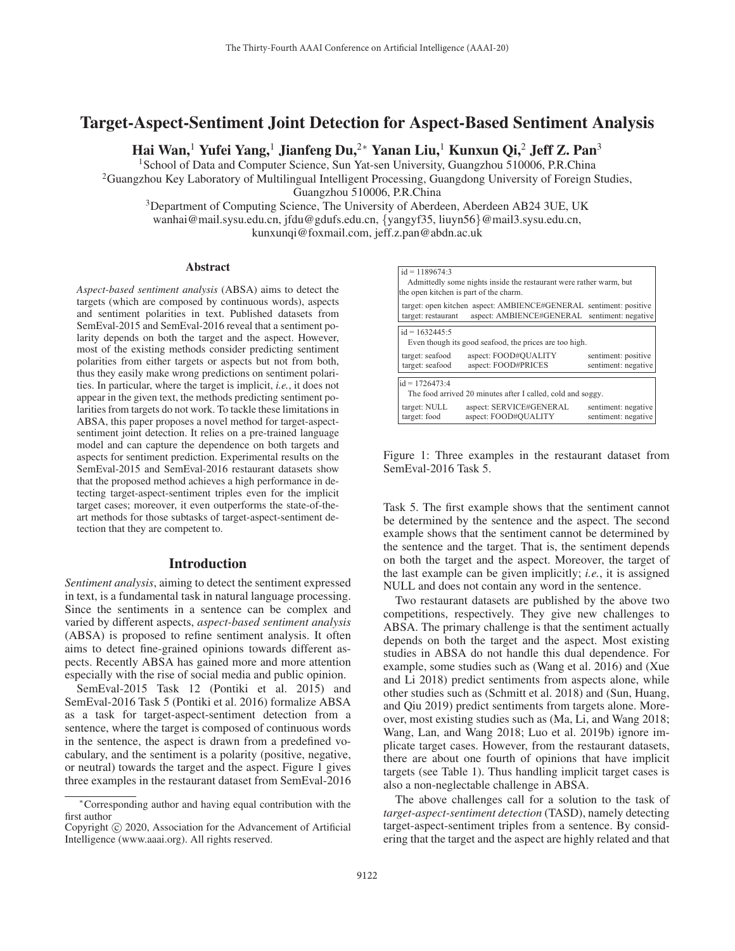# Target-Aspect-Sentiment Joint Detection for Aspect-Based Sentiment Analysis

Hai Wan,<sup>1</sup> Yufei Yang,<sup>1</sup> Jianfeng Du,<sup>2∗</sup> Yanan Liu,<sup>1</sup> Kunxun Qi,<sup>2</sup> Jeff Z. Pan<sup>3</sup>

<sup>1</sup>School of Data and Computer Science, Sun Yat-sen University, Guangzhou 510006, P.R.China <sup>2</sup>Guangzhou Key Laboratory of Multilingual Intelligent Processing, Guangdong University of Foreign Studies,

Guangzhou 510006, P.R.China

3Department of Computing Science, The University of Aberdeen, Aberdeen AB24 3UE, UK wanhai@mail.sysu.edu.cn, jfdu@gdufs.edu.cn, {yangyf35, liuyn56}@mail3.sysu.edu.cn, kunxunqi@foxmail.com, jeff.z.pan@abdn.ac.uk

#### **Abstract**

*Aspect-based sentiment analysis* (ABSA) aims to detect the targets (which are composed by continuous words), aspects and sentiment polarities in text. Published datasets from SemEval-2015 and SemEval-2016 reveal that a sentiment polarity depends on both the target and the aspect. However, most of the existing methods consider predicting sentiment polarities from either targets or aspects but not from both, thus they easily make wrong predictions on sentiment polarities. In particular, where the target is implicit, *i.e.*, it does not appear in the given text, the methods predicting sentiment polarities from targets do not work. To tackle these limitations in ABSA, this paper proposes a novel method for target-aspectsentiment joint detection. It relies on a pre-trained language model and can capture the dependence on both targets and aspects for sentiment prediction. Experimental results on the SemEval-2015 and SemEval-2016 restaurant datasets show that the proposed method achieves a high performance in detecting target-aspect-sentiment triples even for the implicit target cases; moreover, it even outperforms the state-of-theart methods for those subtasks of target-aspect-sentiment detection that they are competent to.

### Introduction

*Sentiment analysis*, aiming to detect the sentiment expressed in text, is a fundamental task in natural language processing. Since the sentiments in a sentence can be complex and varied by different aspects, *aspect-based sentiment analysis* (ABSA) is proposed to refine sentiment analysis. It often aims to detect fine-grained opinions towards different aspects. Recently ABSA has gained more and more attention especially with the rise of social media and public opinion.

SemEval-2015 Task 12 (Pontiki et al. 2015) and SemEval-2016 Task 5 (Pontiki et al. 2016) formalize ABSA as a task for target-aspect-sentiment detection from a sentence, where the target is composed of continuous words in the sentence, the aspect is drawn from a predefined vocabulary, and the sentiment is a polarity (positive, negative, or neutral) towards the target and the aspect. Figure 1 gives three examples in the restaurant dataset from SemEval-2016

| $id = 1189674:3$<br>Admittedly some nights inside the restaurant were rather warm, but<br>the open kitchen is part of the charm. |                                                                                                                   |                                            |  |  |  |  |  |
|----------------------------------------------------------------------------------------------------------------------------------|-------------------------------------------------------------------------------------------------------------------|--------------------------------------------|--|--|--|--|--|
| target: restaurant                                                                                                               | target: open kitchen aspect: AMBIENCE#GENERAL sentiment: positive<br>aspect: AMBIENCE#GENERAL sentiment: negative |                                            |  |  |  |  |  |
| $id = 1632445:5$                                                                                                                 | Even though its good seafood, the prices are too high.                                                            |                                            |  |  |  |  |  |
| target: seafood<br>target: seafood                                                                                               | aspect: FOOD#QUALITY<br>aspect: FOOD#PRICES                                                                       | sentiment: positive<br>sentiment: negative |  |  |  |  |  |
| $id = 1726473:4$                                                                                                                 | The food arrived 20 minutes after I called, cold and soggy.                                                       |                                            |  |  |  |  |  |
| target: NULL<br>target: food                                                                                                     | aspect: SERVICE#GENERAL<br>aspect: FOOD#QUALITY                                                                   | sentiment: negative<br>sentiment: negative |  |  |  |  |  |

Figure 1: Three examples in the restaurant dataset from SemEval-2016 Task 5.

Task 5. The first example shows that the sentiment cannot be determined by the sentence and the aspect. The second example shows that the sentiment cannot be determined by the sentence and the target. That is, the sentiment depends on both the target and the aspect. Moreover, the target of the last example can be given implicitly; *i.e.*, it is assigned NULL and does not contain any word in the sentence.

Two restaurant datasets are published by the above two competitions, respectively. They give new challenges to ABSA. The primary challenge is that the sentiment actually depends on both the target and the aspect. Most existing studies in ABSA do not handle this dual dependence. For example, some studies such as (Wang et al. 2016) and (Xue and Li 2018) predict sentiments from aspects alone, while other studies such as (Schmitt et al. 2018) and (Sun, Huang, and Qiu 2019) predict sentiments from targets alone. Moreover, most existing studies such as (Ma, Li, and Wang 2018; Wang, Lan, and Wang 2018; Luo et al. 2019b) ignore implicate target cases. However, from the restaurant datasets, there are about one fourth of opinions that have implicit targets (see Table 1). Thus handling implicit target cases is also a non-neglectable challenge in ABSA.

The above challenges call for a solution to the task of *target-aspect-sentiment detection* (TASD), namely detecting target-aspect-sentiment triples from a sentence. By considering that the target and the aspect are highly related and that

<sup>∗</sup>Corresponding author and having equal contribution with the first author

Copyright  $\odot$  2020, Association for the Advancement of Artificial Intelligence (www.aaai.org). All rights reserved.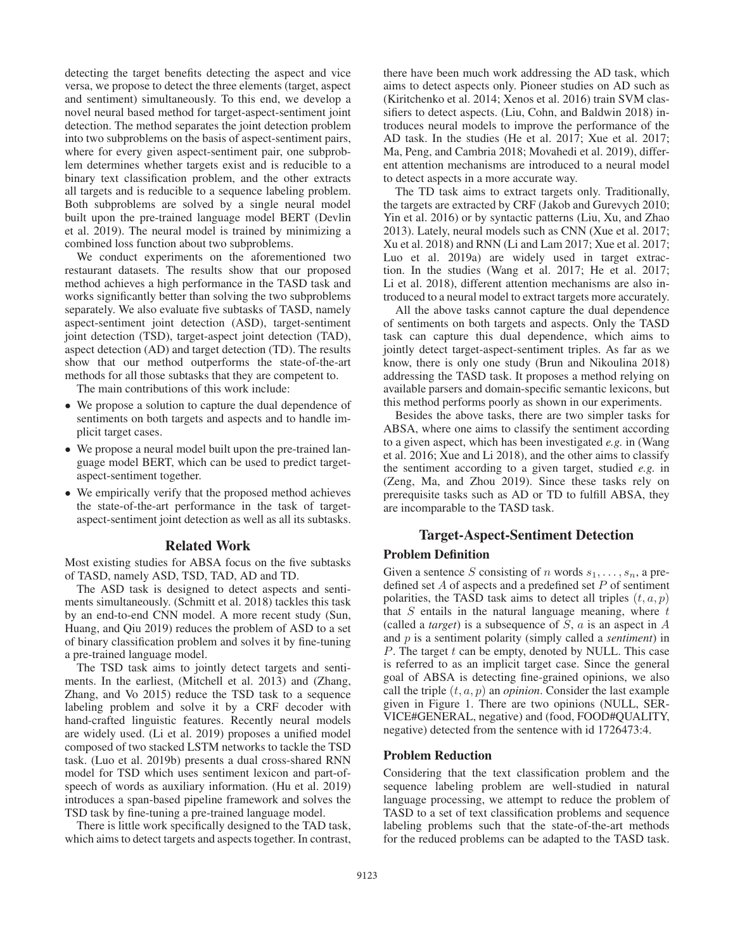detecting the target benefits detecting the aspect and vice versa, we propose to detect the three elements (target, aspect and sentiment) simultaneously. To this end, we develop a novel neural based method for target-aspect-sentiment joint detection. The method separates the joint detection problem into two subproblems on the basis of aspect-sentiment pairs, where for every given aspect-sentiment pair, one subproblem determines whether targets exist and is reducible to a binary text classification problem, and the other extracts all targets and is reducible to a sequence labeling problem. Both subproblems are solved by a single neural model built upon the pre-trained language model BERT (Devlin et al. 2019). The neural model is trained by minimizing a combined loss function about two subproblems.

We conduct experiments on the aforementioned two restaurant datasets. The results show that our proposed method achieves a high performance in the TASD task and works significantly better than solving the two subproblems separately. We also evaluate five subtasks of TASD, namely aspect-sentiment joint detection (ASD), target-sentiment joint detection (TSD), target-aspect joint detection (TAD), aspect detection (AD) and target detection (TD). The results show that our method outperforms the state-of-the-art methods for all those subtasks that they are competent to.

The main contributions of this work include:

- We propose a solution to capture the dual dependence of sentiments on both targets and aspects and to handle implicit target cases.
- We propose a neural model built upon the pre-trained language model BERT, which can be used to predict targetaspect-sentiment together.
- We empirically verify that the proposed method achieves the state-of-the-art performance in the task of targetaspect-sentiment joint detection as well as all its subtasks.

#### Related Work

Most existing studies for ABSA focus on the five subtasks of TASD, namely ASD, TSD, TAD, AD and TD.

The ASD task is designed to detect aspects and sentiments simultaneously. (Schmitt et al. 2018) tackles this task by an end-to-end CNN model. A more recent study (Sun, Huang, and Qiu 2019) reduces the problem of ASD to a set of binary classification problem and solves it by fine-tuning a pre-trained language model.

The TSD task aims to jointly detect targets and sentiments. In the earliest, (Mitchell et al. 2013) and (Zhang, Zhang, and Vo 2015) reduce the TSD task to a sequence labeling problem and solve it by a CRF decoder with hand-crafted linguistic features. Recently neural models are widely used. (Li et al. 2019) proposes a unified model composed of two stacked LSTM networks to tackle the TSD task. (Luo et al. 2019b) presents a dual cross-shared RNN model for TSD which uses sentiment lexicon and part-ofspeech of words as auxiliary information. (Hu et al. 2019) introduces a span-based pipeline framework and solves the TSD task by fine-tuning a pre-trained language model.

There is little work specifically designed to the TAD task, which aims to detect targets and aspects together. In contrast,

there have been much work addressing the AD task, which aims to detect aspects only. Pioneer studies on AD such as (Kiritchenko et al. 2014; Xenos et al. 2016) train SVM classifiers to detect aspects. (Liu, Cohn, and Baldwin 2018) introduces neural models to improve the performance of the AD task. In the studies (He et al. 2017; Xue et al. 2017; Ma, Peng, and Cambria 2018; Movahedi et al. 2019), different attention mechanisms are introduced to a neural model to detect aspects in a more accurate way.

The TD task aims to extract targets only. Traditionally, the targets are extracted by CRF (Jakob and Gurevych 2010; Yin et al. 2016) or by syntactic patterns (Liu, Xu, and Zhao 2013). Lately, neural models such as CNN (Xue et al. 2017; Xu et al. 2018) and RNN (Li and Lam 2017; Xue et al. 2017; Luo et al. 2019a) are widely used in target extraction. In the studies (Wang et al. 2017; He et al. 2017; Li et al. 2018), different attention mechanisms are also introduced to a neural model to extract targets more accurately.

All the above tasks cannot capture the dual dependence of sentiments on both targets and aspects. Only the TASD task can capture this dual dependence, which aims to jointly detect target-aspect-sentiment triples. As far as we know, there is only one study (Brun and Nikoulina 2018) addressing the TASD task. It proposes a method relying on available parsers and domain-specific semantic lexicons, but this method performs poorly as shown in our experiments.

Besides the above tasks, there are two simpler tasks for ABSA, where one aims to classify the sentiment according to a given aspect, which has been investigated *e.g.* in (Wang et al. 2016; Xue and Li 2018), and the other aims to classify the sentiment according to a given target, studied *e.g.* in (Zeng, Ma, and Zhou 2019). Since these tasks rely on prerequisite tasks such as AD or TD to fulfill ABSA, they are incomparable to the TASD task.

# Target-Aspect-Sentiment Detection Problem Definition

Given a sentence S consisting of n words  $s_1, \ldots, s_n$ , a predefined set A of aspects and a predefined set P of sentiment polarities, the TASD task aims to detect all triples  $(t, a, p)$ that  $S$  entails in the natural language meaning, where  $t$ (called a *target*) is a subsequence of S, a is an aspect in A and p is a sentiment polarity (simply called a *sentiment*) in  $P$ . The target  $t$  can be empty, denoted by NULL. This case is referred to as an implicit target case. Since the general goal of ABSA is detecting fine-grained opinions, we also call the triple  $(t, a, p)$  an *opinion*. Consider the last example given in Figure 1. There are two opinions (NULL, SER-VICE#GENERAL, negative) and (food, FOOD#QUALITY, negative) detected from the sentence with id 1726473:4.

### Problem Reduction

Considering that the text classification problem and the sequence labeling problem are well-studied in natural language processing, we attempt to reduce the problem of TASD to a set of text classification problems and sequence labeling problems such that the state-of-the-art methods for the reduced problems can be adapted to the TASD task.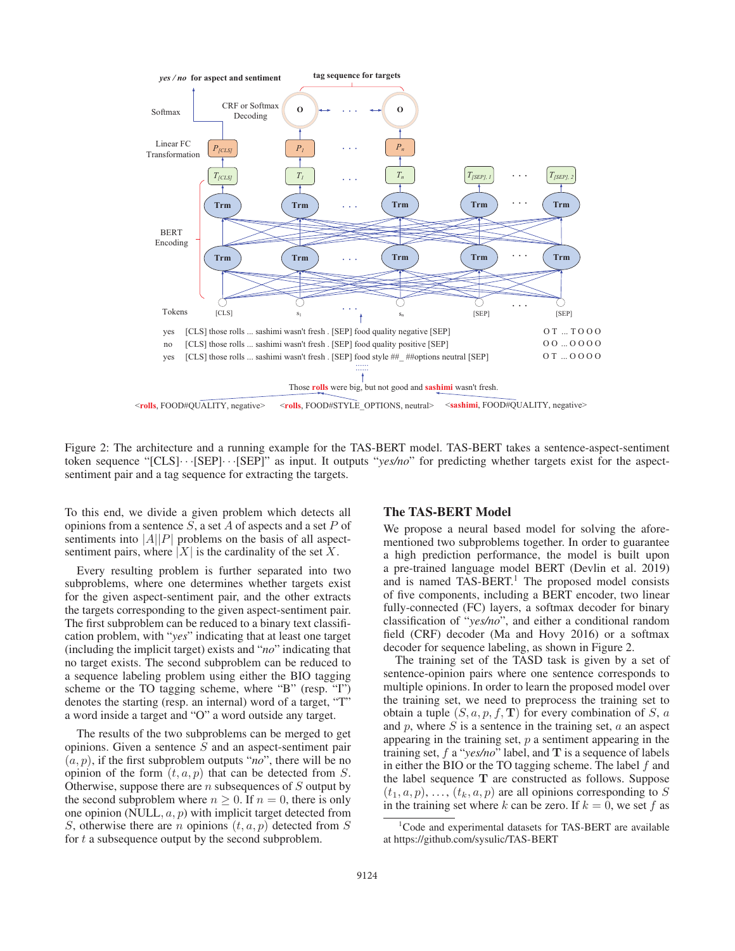

Figure 2: The architecture and a running example for the TAS-BERT model. TAS-BERT takes a sentence-aspect-sentiment token sequence "[CLS]···[SEP]···[SEP]" as input. It outputs "*yes/no*" for predicting whether targets exist for the aspectsentiment pair and a tag sequence for extracting the targets.

To this end, we divide a given problem which detects all opinions from a sentence  $S$ , a set A of aspects and a set P of sentiments into  $|A||P|$  problems on the basis of all aspectsentiment pairs, where  $|X|$  is the cardinality of the set X.

Every resulting problem is further separated into two subproblems, where one determines whether targets exist for the given aspect-sentiment pair, and the other extracts the targets corresponding to the given aspect-sentiment pair. The first subproblem can be reduced to a binary text classification problem, with "*yes*" indicating that at least one target (including the implicit target) exists and "*no*" indicating that no target exists. The second subproblem can be reduced to a sequence labeling problem using either the BIO tagging scheme or the TO tagging scheme, where "B" (resp. "I") denotes the starting (resp. an internal) word of a target, "T" a word inside a target and "O" a word outside any target.

The results of the two subproblems can be merged to get opinions. Given a sentence S and an aspect-sentiment pair  $(a, p)$ , if the first subproblem outputs "*no*", there will be no opinion of the form  $(t, a, p)$  that can be detected from S. Otherwise, suppose there are  $n$  subsequences of  $S$  output by the second subproblem where  $n \geq 0$ . If  $n = 0$ , there is only one opinion (NULL,  $a, p$ ) with implicit target detected from S, otherwise there are *n* opinions  $(t, a, p)$  detected from S for t a subsequence output by the second subproblem.

#### The TAS-BERT Model

We propose a neural based model for solving the aforementioned two subproblems together. In order to guarantee a high prediction performance, the model is built upon a pre-trained language model BERT (Devlin et al. 2019) and is named TAS-BERT.<sup>1</sup> The proposed model consists of five components, including a BERT encoder, two linear fully-connected (FC) layers, a softmax decoder for binary classification of "*yes/no*", and either a conditional random field (CRF) decoder (Ma and Hovy 2016) or a softmax decoder for sequence labeling, as shown in Figure 2.

The training set of the TASD task is given by a set of sentence-opinion pairs where one sentence corresponds to multiple opinions. In order to learn the proposed model over the training set, we need to preprocess the training set to obtain a tuple  $(S, a, p, f, T)$  for every combination of S, a and  $p$ , where  $S$  is a sentence in the training set,  $a$  an aspect appearing in the training set,  $p$  a sentiment appearing in the training set, f a "*yes/no*" label, and **T** is a sequence of labels in either the BIO or the TO tagging scheme. The label  $f$  and the label sequence **T** are constructed as follows. Suppose  $(t_1, a, p), \ldots, (t_k, a, p)$  are all opinions corresponding to S in the training set where k can be zero. If  $k = 0$ , we set f as

<sup>&</sup>lt;sup>1</sup>Code and experimental datasets for TAS-BERT are available at https://github.com/sysulic/TAS-BERT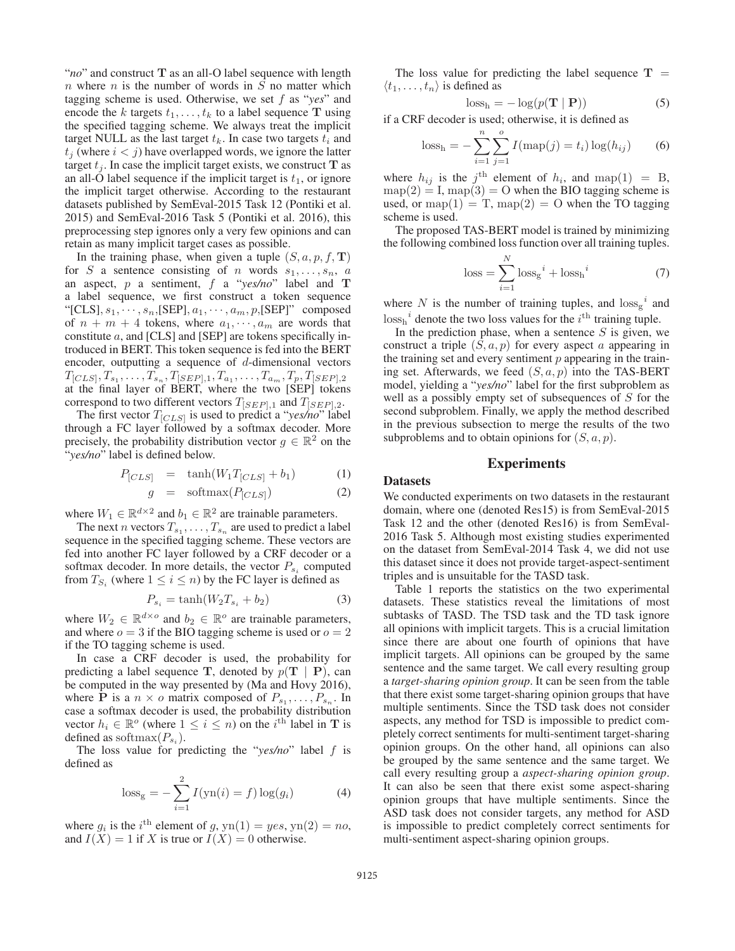"*no*" and construct **T** as an all-O label sequence with length  $n$  where  $n$  is the number of words in  $S$  no matter which tagging scheme is used. Otherwise, we set f as "*yes*" and encode the k targets  $t_1, \ldots, t_k$  to a label sequence **T** using the specified tagging scheme. We always treat the implicit target NULL as the last target  $t_k$ . In case two targets  $t_i$  and  $t_i$  (where  $i < j$ ) have overlapped words, we ignore the latter target  $t_i$ . In case the implicit target exists, we construct **T** as an all-O label sequence if the implicit target is  $t_1$ , or ignore the implicit target otherwise. According to the restaurant datasets published by SemEval-2015 Task 12 (Pontiki et al. 2015) and SemEval-2016 Task 5 (Pontiki et al. 2016), this preprocessing step ignores only a very few opinions and can retain as many implicit target cases as possible.

In the training phase, when given a tuple  $(S, a, p, f, T)$ for S a sentence consisting of n words  $s_1, \ldots, s_n$ , a an aspect, p a sentiment, f a "*yes/no*" label and **T** a label sequence, we first construct a token sequence "[CLS],  $s_1, \dots, s_n$ , [SEP],  $a_1, \dots, a_m$ ,  $p$ , [SEP]" composed of  $n + m + 4$  tokens, where  $a_1, \dots, a_m$  are words that constitute  $a$ , and [CLS] and [SEP] are tokens specifically introduced in BERT. This token sequence is fed into the BERT encoder, outputting a sequence of d-dimensional vectors  $T_{[CLS]}, T_{s_1}, \ldots, T_{s_n}, T_{[SEP],1}, T_{a_1}, \ldots, T_{a_m}, T_p, T_{[SEP],2}$ at the final layer of BERT, where the two [SEP] tokens correspond to two different vectors  $T_{[SEP]$ , and  $T_{[SEP]$ , 2.

The first vector  $T_{[CLS]}$  is used to predict a "*yes/no*" label through a FC layer followed by a softmax decoder. More precisely, the probability distribution vector  $g \in \mathbb{R}^2$  on the "*yes/no*" label is defined below.

$$
P_{[CLS]} = \tanh(W_1 T_{[CLS]} + b_1) \tag{1}
$$

$$
g = \text{softmax}(P_{[CLS]}) \tag{2}
$$

where  $W_1 \in \mathbb{R}^{d \times 2}$  and  $b_1 \in \mathbb{R}^2$  are trainable parameters.

The next n vectors  $T_{s_1}, \ldots, T_{s_n}$  are used to predict a label sequence in the specified tagging scheme. These vectors are fed into another FC layer followed by a CRF decoder or a softmax decoder. In more details, the vector  $P_{s_i}$  computed from  $T_{S_i}$  (where  $1 \leq i \leq n$ ) by the FC layer is defined as

$$
P_{s_i} = \tanh(W_2 T_{s_i} + b_2)
$$
\n(3)

where  $W_2 \in \mathbb{R}^{d \times o}$  and  $b_2 \in \mathbb{R}^o$  are trainable parameters,<br>and where  $o = 3$  if the BIO tagging scheme is used or  $o = 2$ and where  $o = 3$  if the BIO tagging scheme is used or  $o = 2$ if the TO tagging scheme is used.

In case a CRF decoder is used, the probability for predicting a label sequence **T**, denoted by  $p(T | P)$ , can be computed in the way presented by (Ma and Hovy 2016), where **P** is a  $n \times o$  matrix composed of  $P_{s_1}, \ldots, P_{s_n}$ . In case a softmax decoder is used, the probability distribution vector  $h_i \in \mathbb{R}^o$  (where  $1 \le i \le n$ ) on the *i*<sup>th</sup> label in **T** is defined as softmax(*P*<sub>c</sub>) defined as softmax $(P_{s_i})$ .

The loss value for predicting the "*yes/no*" label f is defined as

$$
loss_{\rm g} = -\sum_{i=1}^{2} I(\text{yn}(i) = f) \log(g_i)
$$
 (4)

where  $g_i$  is the  $i^{\text{th}}$  element of  $g$ ,  $\text{yn}(1) = yes$ ,  $\text{yn}(2) = no$ , and  $I(X) = 1$  if X is true or  $I(X) = 0$  otherwise and  $I(X)=1$  if X is true or  $I(X)=0$  otherwise.

The loss value for predicting the label sequence  $T =$  $\langle t_1,\ldots,t_n\rangle$  is defined as

$$
\text{loss}_{\mathbf{h}} = -\log(p(\mathbf{T} \mid \mathbf{P})) \tag{5}
$$

 $\log_{h} = -\log(p(\mathbf{T} | \mathbf{P}))$  (5)<br>if a CRF decoder is used; otherwise, it is defined as

$$
loss_h = -\sum_{i=1}^{n} \sum_{j=1}^{o} I(map(j) = t_i) \log(h_{ij})
$$
 (6)

where  $h_{ij}$  is the  $j^{\text{th}}$  element of  $h_i$ , and map(1) = B,<br>map(2) = I map(3) = O when the BIO tagging scheme is  $map(2) = I$ ,  $map(3) = O$  when the BIO tagging scheme is used, or map(1) = T, map(2) = O when the TO tagging scheme is used.

The proposed TAS-BERT model is trained by minimizing the following combined loss function over all training tuples.

$$
loss = \sum_{i=1}^{N} loss_{g}^{i} + loss_{h}^{i}
$$
 (7)

where N is the number of training tuples, and  $\log_{\frac{1}{3}} i$  and  $\log_{\frac{1}{3}} i$  denote the two loss values for the *i*<sup>th</sup> training tuple  $i$  denote the two loss values for the  $i$ <sup>th</sup> training tuple.

In the prediction phase, when a sentence  $S$  is given, we construct a triple  $(S, a, p)$  for every aspect a appearing in the training set and every sentiment  $p$  appearing in the training set. Afterwards, we feed  $(S, a, p)$  into the TAS-BERT model, yielding a "*yes/no*" label for the first subproblem as well as a possibly empty set of subsequences of S for the second subproblem. Finally, we apply the method described in the previous subsection to merge the results of the two subproblems and to obtain opinions for  $(S, a, p)$ .

### Experiments

### Datasets

We conducted experiments on two datasets in the restaurant domain, where one (denoted Res15) is from SemEval-2015 Task 12 and the other (denoted Res16) is from SemEval-2016 Task 5. Although most existing studies experimented on the dataset from SemEval-2014 Task 4, we did not use this dataset since it does not provide target-aspect-sentiment triples and is unsuitable for the TASD task.

Table 1 reports the statistics on the two experimental datasets. These statistics reveal the limitations of most subtasks of TASD. The TSD task and the TD task ignore all opinions with implicit targets. This is a crucial limitation since there are about one fourth of opinions that have implicit targets. All opinions can be grouped by the same sentence and the same target. We call every resulting group a *target-sharing opinion group*. It can be seen from the table that there exist some target-sharing opinion groups that have multiple sentiments. Since the TSD task does not consider aspects, any method for TSD is impossible to predict completely correct sentiments for multi-sentiment target-sharing opinion groups. On the other hand, all opinions can also be grouped by the same sentence and the same target. We call every resulting group a *aspect-sharing opinion group*. It can also be seen that there exist some aspect-sharing opinion groups that have multiple sentiments. Since the ASD task does not consider targets, any method for ASD is impossible to predict completely correct sentiments for multi-sentiment aspect-sharing opinion groups.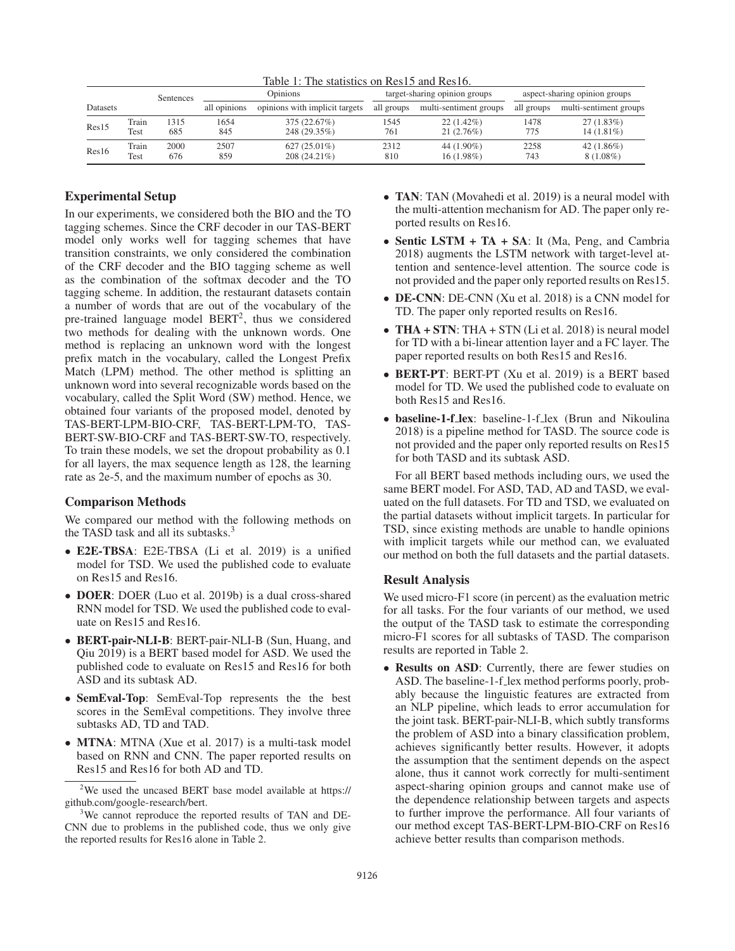Table 1: The statistics on Res15 and Res16.

|          |       | Sentences | Opinions     |                                |            | target-sharing opinion groups | aspect-sharing opinion groups |                        |  |
|----------|-------|-----------|--------------|--------------------------------|------------|-------------------------------|-------------------------------|------------------------|--|
| Datasets |       |           | all opinions | opinions with implicit targets | all groups | multi-sentiment groups        | all groups                    | multi-sentiment groups |  |
| Res15    | Train | 1315      | 1654         | 375 (22.67%)                   | 1545       | $22(1.42\%)$                  | 1478                          | 27(1.83%)              |  |
|          | Test  | 685       | 845          | 248 (29.35%)                   | 761        | $21(2.76\%)$                  | 775                           | $14(1.81\%)$           |  |
| Res16    | Train | 2000      | 2507         | $627(25.01\%)$                 | 2312       | 44 (1.90%)                    | 2258                          | $42(1.86\%)$           |  |
|          | Test  | 676       | 859          | 208 (24.21%)                   | 810        | $16(1.98\%)$                  | 743                           | $8(1.08\%)$            |  |

# Experimental Setup

In our experiments, we considered both the BIO and the TO tagging schemes. Since the CRF decoder in our TAS-BERT model only works well for tagging schemes that have transition constraints, we only considered the combination of the CRF decoder and the BIO tagging scheme as well as the combination of the softmax decoder and the TO tagging scheme. In addition, the restaurant datasets contain a number of words that are out of the vocabulary of the pre-trained language model  $BERT<sup>2</sup>$ , thus we considered two methods for dealing with the unknown words. One method is replacing an unknown word with the longest prefix match in the vocabulary, called the Longest Prefix Match (LPM) method. The other method is splitting an unknown word into several recognizable words based on the vocabulary, called the Split Word (SW) method. Hence, we obtained four variants of the proposed model, denoted by TAS-BERT-LPM-BIO-CRF, TAS-BERT-LPM-TO, TAS-BERT-SW-BIO-CRF and TAS-BERT-SW-TO, respectively. To train these models, we set the dropout probability as 0.1 for all layers, the max sequence length as 128, the learning rate as 2e-5, and the maximum number of epochs as 30.

# Comparison Methods

We compared our method with the following methods on the TASD task and all its subtasks.<sup>3</sup>

- E2E-TBSA: E2E-TBSA (Li et al. 2019) is a unified model for TSD. We used the published code to evaluate on Res15 and Res16.
- **DOER**: DOER (Luo et al. 2019b) is a dual cross-shared RNN model for TSD. We used the published code to evaluate on Res15 and Res16.
- BERT-pair-NLI-B: BERT-pair-NLI-B (Sun, Huang, and Qiu 2019) is a BERT based model for ASD. We used the published code to evaluate on Res15 and Res16 for both ASD and its subtask AD.
- SemEval-Top: SemEval-Top represents the the best scores in the SemEval competitions. They involve three subtasks AD, TD and TAD.
- MTNA: MTNA (Xue et al. 2017) is a multi-task model based on RNN and CNN. The paper reported results on Res15 and Res16 for both AD and TD.
- TAN: TAN (Movahedi et al. 2019) is a neural model with the multi-attention mechanism for AD. The paper only reported results on Res16.
- Sentic LSTM + TA + SA: It (Ma, Peng, and Cambria 2018) augments the LSTM network with target-level attention and sentence-level attention. The source code is not provided and the paper only reported results on Res15.
- DE-CNN: DE-CNN (Xu et al. 2018) is a CNN model for TD. The paper only reported results on Res16.
- THA + STN: THA + STN (Li et al. 2018) is neural model for TD with a bi-linear attention layer and a FC layer. The paper reported results on both Res15 and Res16.
- BERT-PT: BERT-PT (Xu et al. 2019) is a BERT based model for TD. We used the published code to evaluate on both Res15 and Res16.
- baseline-1-f lex: baseline-1-f lex (Brun and Nikoulina 2018) is a pipeline method for TASD. The source code is not provided and the paper only reported results on Res15 for both TASD and its subtask ASD.

For all BERT based methods including ours, we used the same BERT model. For ASD, TAD, AD and TASD, we evaluated on the full datasets. For TD and TSD, we evaluated on the partial datasets without implicit targets. In particular for TSD, since existing methods are unable to handle opinions with implicit targets while our method can, we evaluated our method on both the full datasets and the partial datasets.

## Result Analysis

We used micro-F1 score (in percent) as the evaluation metric for all tasks. For the four variants of our method, we used the output of the TASD task to estimate the corresponding micro-F1 scores for all subtasks of TASD. The comparison results are reported in Table 2.

• Results on ASD: Currently, there are fewer studies on ASD. The baseline-1-f lex method performs poorly, probably because the linguistic features are extracted from an NLP pipeline, which leads to error accumulation for the joint task. BERT-pair-NLI-B, which subtly transforms the problem of ASD into a binary classification problem, achieves significantly better results. However, it adopts the assumption that the sentiment depends on the aspect alone, thus it cannot work correctly for multi-sentiment aspect-sharing opinion groups and cannot make use of the dependence relationship between targets and aspects to further improve the performance. All four variants of our method except TAS-BERT-LPM-BIO-CRF on Res16 achieve better results than comparison methods.

<sup>&</sup>lt;sup>2</sup>We used the uncased BERT base model available at https:// github.com/google-research/bert.

<sup>&</sup>lt;sup>3</sup>We cannot reproduce the reported results of TAN and DE-CNN due to problems in the published code, thus we only give the reported results for Res16 alone in Table 2.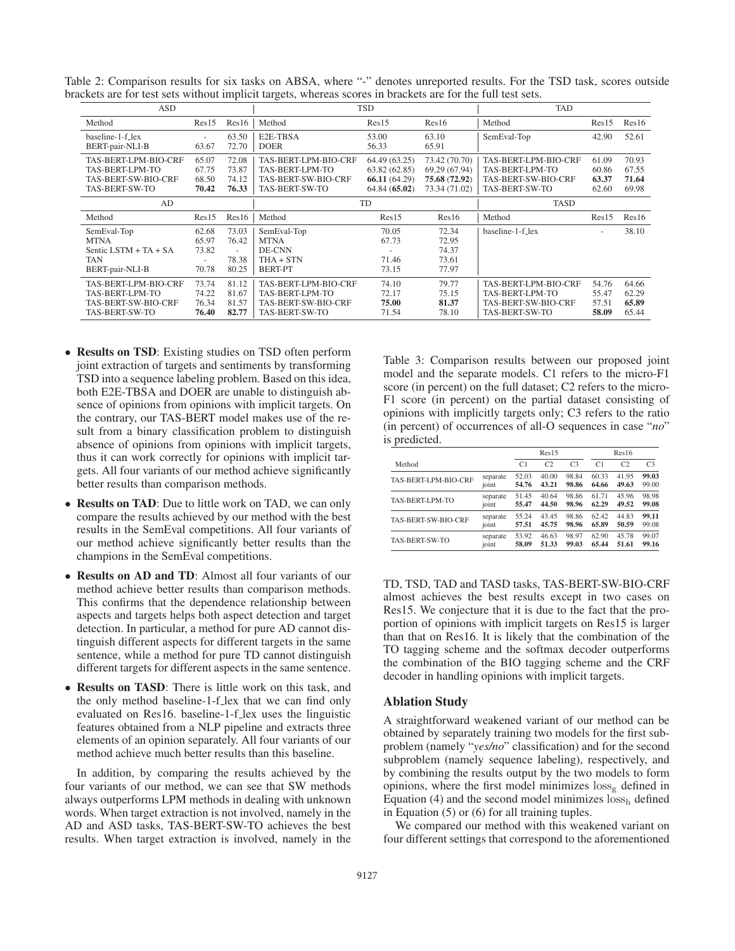|                  |     |                      | Table 2: Comparison results for six tasks on ABSA, where "-" denotes unreported results. For the TSD task, scores outside<br>brackets are for test sets without implicit targets, whereas scores in brackets are for the full test sets. |       |             |     |       |               |
|------------------|-----|----------------------|------------------------------------------------------------------------------------------------------------------------------------------------------------------------------------------------------------------------------------------|-------|-------------|-----|-------|---------------|
|                  | ASD |                      | TSD                                                                                                                                                                                                                                      |       |             | TAD |       |               |
| Method           |     | Res15 Res16   Method | Res15                                                                                                                                                                                                                                    | Res16 | Method      |     |       | $Res15$ Res16 |
| baseline-1-f_lex |     | $63.50$ E2E-TBSA     | 53.00                                                                                                                                                                                                                                    | 63.10 | SemEval-Top |     | 42.90 | 52.61         |

| baseline-1-f_lex<br>BERT-pair-NLI-B | $\overline{\phantom{a}}$<br>63.67 | 63.50<br>72.70 | E2E-TBSA<br><b>DOER</b> | 53.00<br>56.33 | 63.10<br>65.91 | SemEval-Top          | 42.90                    | 52.61 |
|-------------------------------------|-----------------------------------|----------------|-------------------------|----------------|----------------|----------------------|--------------------------|-------|
| TAS-BERT-LPM-BIO-CRF                | 65.07                             | 72.08          | TAS-BERT-LPM-BIO-CRF    | 64.49 (63.25)  | 73.42 (70.70)  | TAS-BERT-LPM-BIO-CRF | 61.09                    | 70.93 |
| TAS-BERT-LPM-TO                     | 67.75                             | 73.87          | TAS-BERT-LPM-TO         | 63.82 (62.85)  | 69.29 (67.94)  | TAS-BERT-LPM-TO      | 60.86                    | 67.55 |
| TAS-BERT-SW-BIO-CRF                 | 68.50                             | 74.12          | TAS-BERT-SW-BIO-CRF     | 66.11(64.29)   | 75.68 (72.92)  | TAS-BERT-SW-BIO-CRF  | 63.37                    | 71.64 |
| TAS-BERT-SW-TO                      | 70.42                             | 76.33          | TAS-BERT-SW-TO          | 64.84(65.02)   | 73.34 (71.02)  | TAS-BERT-SW-TO       | 62.60                    | 69.98 |
| AD                                  |                                   |                |                         | <b>TD</b>      |                | <b>TASD</b>          |                          |       |
| Method                              | Res15                             | Res16          | Method                  | Res15          | Res16          | Method               | Res15                    | Res16 |
| SemEval-Top                         | 62.68                             | 73.03          | SemEval-Top             | 70.05          | 72.34          | baseline-1-f_lex     | $\overline{\phantom{a}}$ | 38.10 |
| <b>MTNA</b>                         | 65.97                             | 76.42          | <b>MTNA</b>             | 67.73          | 72.95          |                      |                          |       |
| Sentic LSTM + TA + SA               | 73.82                             | $\sim$         | DE-CNN                  |                | 74.37          |                      |                          |       |
| TAN                                 | ۰                                 | 78.38          | THA + STN               | 71.46          | 73.61          |                      |                          |       |
| BERT-pair-NLI-B                     | 70.78                             | 80.25          | <b>BERT-PT</b>          | 73.15          | 77.97          |                      |                          |       |
| TAS-BERT-LPM-BIO-CRF                | 73.74                             | 81.12          | TAS-BERT-LPM-BIO-CRF    | 74.10          | 79.77          | TAS-BERT-LPM-BIO-CRF | 54.76                    | 64.66 |
| TAS-BERT-LPM-TO                     | 74.22                             | 81.67          | TAS-BERT-LPM-TO         | 72.17          | 75.15          | TAS-BERT-LPM-TO      | 55.47                    | 62.29 |
| TAS-BERT-SW-BIO-CRF                 | 76.34                             | 81.57          | TAS-BERT-SW-BIO-CRF     | 75.00          | 81.37          | TAS-BERT-SW-BIO-CRF  | 57.51                    | 65.89 |
| TAS-BERT-SW-TO                      | 76.40                             | 82.77          | TAS-BERT-SW-TO          | 71.54          | 78.10          | TAS-BERT-SW-TO       | 58.09                    | 65.44 |

- **Results on TSD**: Existing studies on TSD often perform joint extraction of targets and sentiments by transforming TSD into a sequence labeling problem. Based on this idea, both E2E-TBSA and DOER are unable to distinguish absence of opinions from opinions with implicit targets. On the contrary, our TAS-BERT model makes use of the result from a binary classification problem to distinguish absence of opinions from opinions with implicit targets, thus it can work correctly for opinions with implicit targets. All four variants of our method achieve significantly better results than comparison methods.
- Results on TAD: Due to little work on TAD, we can only compare the results achieved by our method with the best results in the SemEval competitions. All four variants of our method achieve significantly better results than the champions in the SemEval competitions.
- Results on AD and TD: Almost all four variants of our method achieve better results than comparison methods. This confirms that the dependence relationship between aspects and targets helps both aspect detection and target detection. In particular, a method for pure AD cannot distinguish different aspects for different targets in the same sentence, while a method for pure TD cannot distinguish different targets for different aspects in the same sentence.
- Results on TASD: There is little work on this task, and the only method baseline-1-f lex that we can find only evaluated on Res16. baseline-1-f lex uses the linguistic features obtained from a NLP pipeline and extracts three elements of an opinion separately. All four variants of our method achieve much better results than this baseline.

In addition, by comparing the results achieved by the four variants of our method, we can see that SW methods always outperforms LPM methods in dealing with unknown words. When target extraction is not involved, namely in the AD and ASD tasks, TAS-BERT-SW-TO achieves the best results. When target extraction is involved, namely in the Table 3: Comparison results between our proposed joint model and the separate models. C1 refers to the micro-F1 score (in percent) on the full dataset; C2 refers to the micro-F1 score (in percent) on the partial dataset consisting of opinions with implicitly targets only; C3 refers to the ratio (in percent) of occurrences of all-O sequences in case "*no*" is predicted.

|                      |          |                | Res15          |                |                | Res16          |                |  |
|----------------------|----------|----------------|----------------|----------------|----------------|----------------|----------------|--|
| Method               |          | C <sub>1</sub> | C <sub>2</sub> | C <sub>3</sub> | C <sub>1</sub> | C <sub>2</sub> | C <sub>3</sub> |  |
| TAS-BERT-LPM-BIO-CRF | separate | 52.03          | 40.00          | 98.84          | 60.33          | 41.95          | 99.03          |  |
|                      | joint    | 54.76          | 43.21          | 98.86          | 64.66          | 49.63          | 99.00          |  |
| TAS-BERT-LPM-TO      | separate | 51.45          | 40.64          | 98.86          | 61.71          | 45.96          | 98.98          |  |
|                      | joint    | 55.47          | 44.50          | 98.96          | 62.29          | 49.52          | 99.08          |  |
| TAS-BERT-SW-BIO-CRF  | separate | 55.24          | 43.45          | 98.86          | 62.42          | 44.83          | 99.11          |  |
|                      | joint    | 57.51          | 45.75          | 98.96          | 65.89          | 50.59          | 99.08          |  |
| TAS-BERT-SW-TO       | separate | 53.92          | 46.63          | 98.97          | 62.90          | 45.78          | 99.07          |  |
|                      | joint    | 58.09          | 51.33          | 99.03          | 65.44          | 51.61          | 99.16          |  |

TD, TSD, TAD and TASD tasks, TAS-BERT-SW-BIO-CRF almost achieves the best results except in two cases on Res15. We conjecture that it is due to the fact that the proportion of opinions with implicit targets on Res15 is larger than that on Res16. It is likely that the combination of the TO tagging scheme and the softmax decoder outperforms the combination of the BIO tagging scheme and the CRF decoder in handling opinions with implicit targets.

# Ablation Study

A straightforward weakened variant of our method can be obtained by separately training two models for the first subproblem (namely "*yes/no*" classification) and for the second subproblem (namely sequence labeling), respectively, and by combining the results output by the two models to form opinions, where the first model minimizes  $loss<sub>g</sub>$  defined in Equation (4) and the second model minimizes  $loss<sub>h</sub>$  defined in Equation (5) or (6) for all training tuples.

We compared our method with this weakened variant on four different settings that correspond to the aforementioned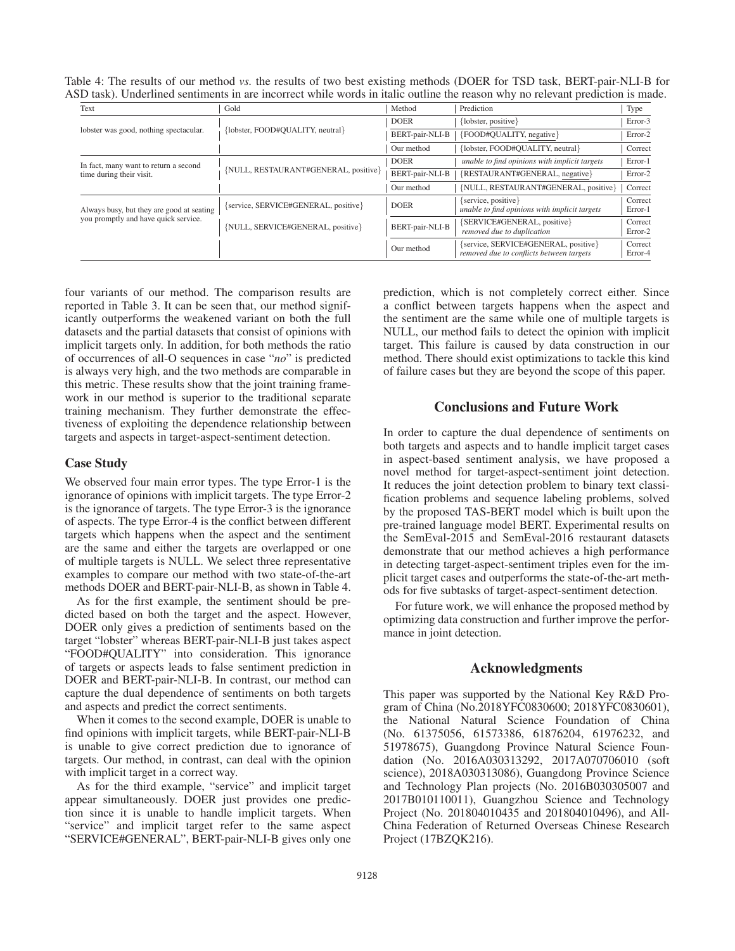Table 4: The results of our method *vs.* the results of two best existing methods (DOER for TSD task, BERT-pair-NLI-B for ASD task). Underlined sentiments in are incorrect while words in italic outline the reason why no relevant prediction is made.

| Text                                      | Gold                                 | Method          | Prediction                                                                       | Type               |
|-------------------------------------------|--------------------------------------|-----------------|----------------------------------------------------------------------------------|--------------------|
|                                           |                                      | <b>DOER</b>     | {lobster, positive}                                                              | Error-3            |
| lobster was good, nothing spectacular.    | [lobster, FOOD#QUALITY, neutral]     | BERT-pair-NLI-B | {FOOD#QUALITY, negative}                                                         | Error-2            |
|                                           |                                      | Our method      | {lobster, FOOD#QUALITY, neutral}                                                 | Correct            |
| In fact, many want to return a second     |                                      | <b>DOER</b>     | unable to find opinions with implicit targets                                    | Error-1            |
| time during their visit.                  | {NULL, RESTAURANT#GENERAL, positive} | BERT-pair-NLI-B | {RESTAURANT#GENERAL, negative}                                                   | Error-2            |
|                                           |                                      | Our method      | {NULL, RESTAURANT#GENERAL, positive}                                             | Correct            |
| Always busy, but they are good at seating | {service, SERVICE#GENERAL, positive} | <b>DOER</b>     | {service, positive}<br>unable to find opinions with implicit targets             | Correct<br>Error-1 |
| you promptly and have quick service.      | {NULL, SERVICE#GENERAL, positive}    | BERT-pair-NLI-B | {SERVICE#GENERAL, positive}<br>removed due to duplication                        | Correct<br>Error-2 |
|                                           |                                      | Our method      | {service, SERVICE#GENERAL, positive}<br>removed due to conflicts between targets | Correct<br>Error-4 |

four variants of our method. The comparison results are reported in Table 3. It can be seen that, our method significantly outperforms the weakened variant on both the full datasets and the partial datasets that consist of opinions with implicit targets only. In addition, for both methods the ratio of occurrences of all-O sequences in case "*no*" is predicted is always very high, and the two methods are comparable in this metric. These results show that the joint training framework in our method is superior to the traditional separate training mechanism. They further demonstrate the effectiveness of exploiting the dependence relationship between targets and aspects in target-aspect-sentiment detection.

# Case Study

We observed four main error types. The type Error-1 is the ignorance of opinions with implicit targets. The type Error-2 is the ignorance of targets. The type Error-3 is the ignorance of aspects. The type Error-4 is the conflict between different targets which happens when the aspect and the sentiment are the same and either the targets are overlapped or one of multiple targets is NULL. We select three representative examples to compare our method with two state-of-the-art methods DOER and BERT-pair-NLI-B, as shown in Table 4.

As for the first example, the sentiment should be predicted based on both the target and the aspect. However, DOER only gives a prediction of sentiments based on the target "lobster" whereas BERT-pair-NLI-B just takes aspect "FOOD#QUALITY" into consideration. This ignorance of targets or aspects leads to false sentiment prediction in DOER and BERT-pair-NLI-B. In contrast, our method can capture the dual dependence of sentiments on both targets and aspects and predict the correct sentiments.

When it comes to the second example, DOER is unable to find opinions with implicit targets, while BERT-pair-NLI-B is unable to give correct prediction due to ignorance of targets. Our method, in contrast, can deal with the opinion with implicit target in a correct way.

As for the third example, "service" and implicit target appear simultaneously. DOER just provides one prediction since it is unable to handle implicit targets. When "service" and implicit target refer to the same aspect "SERVICE#GENERAL", BERT-pair-NLI-B gives only one prediction, which is not completely correct either. Since a conflict between targets happens when the aspect and the sentiment are the same while one of multiple targets is NULL, our method fails to detect the opinion with implicit target. This failure is caused by data construction in our method. There should exist optimizations to tackle this kind of failure cases but they are beyond the scope of this paper.

# Conclusions and Future Work

In order to capture the dual dependence of sentiments on both targets and aspects and to handle implicit target cases in aspect-based sentiment analysis, we have proposed a novel method for target-aspect-sentiment joint detection. It reduces the joint detection problem to binary text classification problems and sequence labeling problems, solved by the proposed TAS-BERT model which is built upon the pre-trained language model BERT. Experimental results on the SemEval-2015 and SemEval-2016 restaurant datasets demonstrate that our method achieves a high performance in detecting target-aspect-sentiment triples even for the implicit target cases and outperforms the state-of-the-art methods for five subtasks of target-aspect-sentiment detection.

For future work, we will enhance the proposed method by optimizing data construction and further improve the performance in joint detection.

### Acknowledgments

This paper was supported by the National Key R&D Program of China (No.2018YFC0830600; 2018YFC0830601), the National Natural Science Foundation of China (No. 61375056, 61573386, 61876204, 61976232, and 51978675), Guangdong Province Natural Science Foundation (No. 2016A030313292, 2017A070706010 (soft science), 2018A030313086), Guangdong Province Science and Technology Plan projects (No. 2016B030305007 and 2017B010110011), Guangzhou Science and Technology Project (No. 201804010435 and 201804010496), and All-China Federation of Returned Overseas Chinese Research Project (17BZQK216).